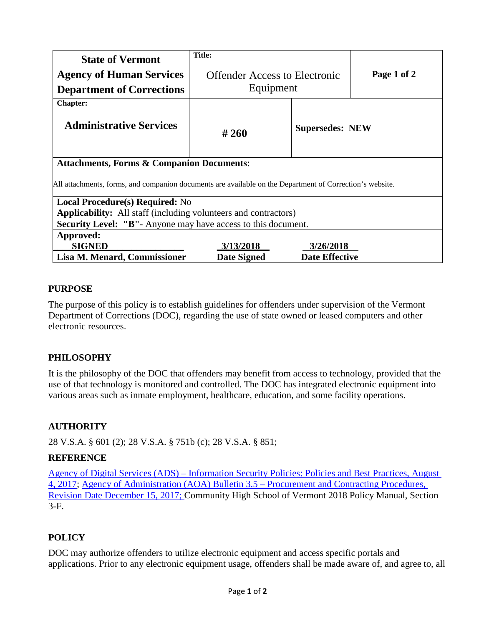|                                                                                                          | <b>Title:</b>                        |                        |             |
|----------------------------------------------------------------------------------------------------------|--------------------------------------|------------------------|-------------|
| <b>State of Vermont</b>                                                                                  |                                      |                        |             |
| <b>Agency of Human Services</b>                                                                          | <b>Offender Access to Electronic</b> |                        | Page 1 of 2 |
| <b>Department of Corrections</b>                                                                         | Equipment                            |                        |             |
| <b>Chapter:</b>                                                                                          |                                      |                        |             |
| <b>Administrative Services</b>                                                                           | #260                                 | <b>Supersedes: NEW</b> |             |
| <b>Attachments, Forms &amp; Companion Documents:</b>                                                     |                                      |                        |             |
| All attachments, forms, and companion documents are available on the Department of Correction's website. |                                      |                        |             |
| <b>Local Procedure(s) Required: No</b>                                                                   |                                      |                        |             |
| <b>Applicability:</b> All staff (including volunteers and contractors)                                   |                                      |                        |             |
| <b>Security Level: "B"</b> - Anyone may have access to this document.                                    |                                      |                        |             |
| Approved:                                                                                                |                                      |                        |             |
| <b>SIGNED</b>                                                                                            | 3/13/2018                            | 3/26/2018              |             |
| Lisa M. Menard, Commissioner                                                                             | <b>Date Signed</b>                   | <b>Date Effective</b>  |             |

## **PURPOSE**

The purpose of this policy is to establish guidelines for offenders under supervision of the Vermont Department of Corrections (DOC), regarding the use of state owned or leased computers and other electronic resources.

# **PHILOSOPHY**

It is the philosophy of the DOC that offenders may benefit from access to technology, provided that the use of that technology is monitored and controlled. The DOC has integrated electronic equipment into various areas such as inmate employment, healthcare, education, and some facility operations.

# **AUTHORITY**

28 V.S.A. § 601 (2); 28 V.S.A. § 751b (c); 28 V.S.A. § 851;

## **REFERENCE**

Agency of Digital Services (ADS) – [Information Security Policies: Policies and Best Practices, August](http://dii.vermont.gov/sites/dii/files/PDF/Policies_Reports/InformationSecurityPolicies_FINAL.pdf)  [4, 2017;](http://dii.vermont.gov/sites/dii/files/PDF/Policies_Reports/InformationSecurityPolicies_FINAL.pdf) [Agency of Administration \(AOA\) Bulletin 3.5 –](http://aoa.vermont.gov/sites/aoa/files/Bulletins/3point5/Bulletin_3.5_FINAL_12-15-17CLEAN%20%28002%29.pdf) Procurement and Contracting Procedures, [Revision Date December 15, 2017;](http://aoa.vermont.gov/sites/aoa/files/Bulletins/3point5/Bulletin_3.5_FINAL_12-15-17CLEAN%20%28002%29.pdf) Community High School of Vermont 2018 Policy Manual, Section 3-F.

# **POLICY**

DOC may authorize offenders to utilize electronic equipment and access specific portals and applications. Prior to any electronic equipment usage, offenders shall be made aware of, and agree to, all